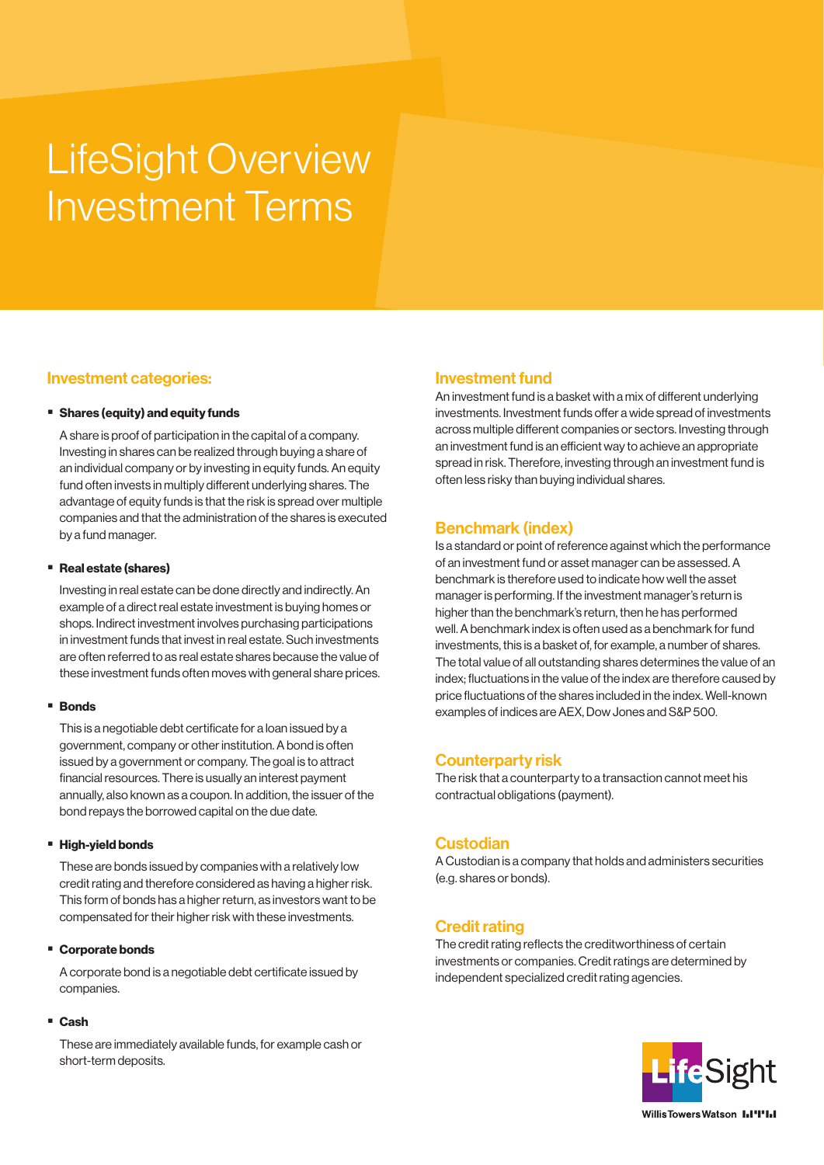# LifeSight Overview Investment Terms

## Investment categories:

#### **Shares (equity) and equity funds**

A share is proof of participation in the capital of a company. Investing in shares can be realized through buying a share of an individual company or by investing in equity funds. An equity fund often invests in multiply different underlying shares. The advantage of equity funds is that the risk is spread over multiple companies and that the administration of the shares is executed by a fund manager.

#### ■ Real estate (shares)

Investing in real estate can be done directly and indirectly. An example of a direct real estate investment is buying homes or shops. Indirect investment involves purchasing participations in investment funds that invest in real estate. Such investments are often referred to as real estate shares because the value of these investment funds often moves with general share prices.

#### **Bonds**

This is a negotiable debt certificate for a loan issued by a government, company or other institution. A bond is often issued by a government or company. The goal is to attract financial resources. There is usually an interest payment annually, also known as a coupon. In addition, the issuer of the bond repays the borrowed capital on the due date.

#### **High-yield bonds**

These are bonds issued by companies with a relatively low credit rating and therefore considered as having a higher risk. This form of bonds has a higher return, as investors want to be compensated for their higher risk with these investments.

#### ■ Corporate bonds

A corporate bond is a negotiable debt certificate issued by companies.

#### Cash

These are immediately available funds, for example cash or short-term deposits.

## Investment fund

An investment fund is a basket with a mix of different underlying investments. Investment funds offer a wide spread of investments across multiple different companies or sectors. Investing through an investment fund is an efficient way to achieve an appropriate spread in risk. Therefore, investing through an investment fund is often less risky than buying individual shares.

## Benchmark (index)

Is a standard or point of reference against which the performance of an investment fund or asset manager can be assessed. A benchmark is therefore used to indicate how well the asset manager is performing. If the investment manager's return is higher than the benchmark's return, then he has performed well. A benchmark index is often used as a benchmark for fund investments, this is a basket of, for example, a number of shares. The total value of all outstanding shares determines the value of an index; fluctuations in the value of the index are therefore caused by price fluctuations of the shares included in the index. Well-known examples of indices are AEX, Dow Jones and S&P 500.

## Counterparty risk

The risk that a counterparty to a transaction cannot meet his contractual obligations (payment).

## Custodian

A Custodian is a company that holds and administers securities (e.g. shares or bonds).

## Credit rating

The credit rating reflects the creditworthiness of certain investments or companies. Credit ratings are determined by independent specialized credit rating agencies.

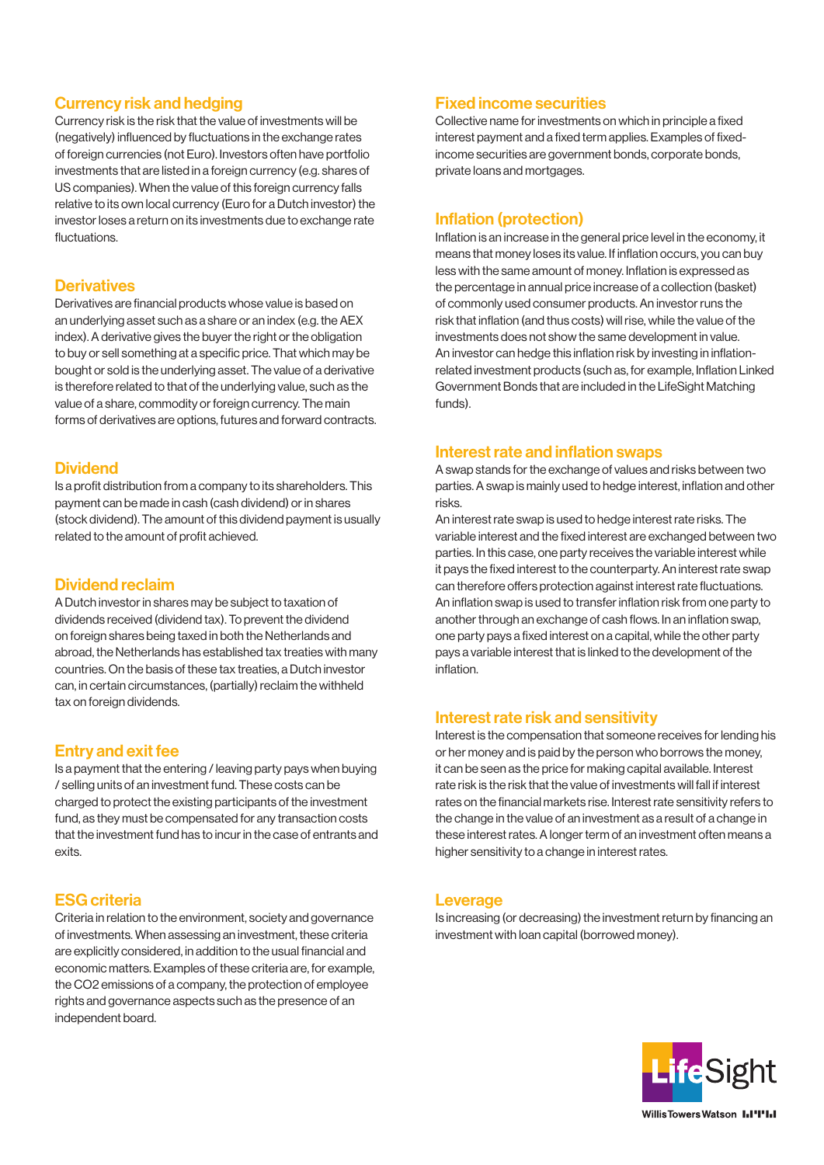## Currency risk and hedging

Currency risk is the risk that the value of investments will be (negatively) influenced by fluctuations in the exchange rates of foreign currencies (not Euro). Investors often have portfolio investments that are listed in a foreign currency (e.g. shares of US companies). When the value of this foreign currency falls relative to its own local currency (Euro for a Dutch investor) the investor loses a return on its investments due to exchange rate fluctuations.

#### **Derivatives**

Derivatives are financial products whose value is based on an underlying asset such as a share or an index (e.g. the AEX index). A derivative gives the buyer the right or the obligation to buy or sell something at a specific price. That which may be bought or sold is the underlying asset. The value of a derivative is therefore related to that of the underlying value, such as the value of a share, commodity or foreign currency. The main forms of derivatives are options, futures and forward contracts.

#### **Dividend**

Is a profit distribution from a company to its shareholders. This payment can be made in cash (cash dividend) or in shares (stock dividend). The amount of this dividend payment is usually related to the amount of profit achieved.

## Dividend reclaim

A Dutch investor in shares may be subject to taxation of dividends received (dividend tax). To prevent the dividend on foreign shares being taxed in both the Netherlands and abroad, the Netherlands has established tax treaties with many countries. On the basis of these tax treaties, a Dutch investor can, in certain circumstances, (partially) reclaim the withheld tax on foreign dividends.

## Entry and exit fee

Is a payment that the entering / leaving party pays when buying / selling units of an investment fund. These costs can be charged to protect the existing participants of the investment fund, as they must be compensated for any transaction costs that the investment fund has to incur in the case of entrants and exits.

## ESG criteria

Criteria in relation to the environment, society and governance of investments. When assessing an investment, these criteria are explicitly considered, in addition to the usual financial and economic matters. Examples of these criteria are, for example, the CO2 emissions of a company, the protection of employee rights and governance aspects such as the presence of an independent board.

## Fixed income securities

Collective name for investments on which in principle a fixed interest payment and a fixed term applies. Examples of fixedincome securities are government bonds, corporate bonds, private loans and mortgages.

## Inflation (protection)

Inflation is an increase in the general price level in the economy, it means that money loses its value. If inflation occurs, you can buy less with the same amount of money. Inflation is expressed as the percentage in annual price increase of a collection (basket) of commonly used consumer products. An investor runs the risk that inflation (and thus costs) will rise, while the value of the investments does not show the same development in value. An investor can hedge this inflation risk by investing in inflationrelated investment products (such as, for example, Inflation Linked Government Bonds that are included in the LifeSight Matching funds).

## Interest rate and inflation swaps

A swap stands for the exchange of values and risks between two parties. A swap is mainly used to hedge interest, inflation and other risks.

An interest rate swap is used to hedge interest rate risks. The variable interest and the fixed interest are exchanged between two parties. In this case, one party receives the variable interest while it pays the fixed interest to the counterparty. An interest rate swap can therefore offers protection against interest rate fluctuations. An inflation swap is used to transfer inflation risk from one party to another through an exchange of cash flows. In an inflation swap, one party pays a fixed interest on a capital, while the other party pays a variable interest that is linked to the development of the inflation.

## Interest rate risk and sensitivity

Interest is the compensation that someone receives for lending his or her money and is paid by the person who borrows the money, it can be seen as the price for making capital available. Interest rate risk is the risk that the value of investments will fall if interest rates on the financial markets rise. Interest rate sensitivity refers to the change in the value of an investment as a result of a change in these interest rates. A longer term of an investment often means a higher sensitivity to a change in interest rates.

#### **Leverage**

Is increasing (or decreasing) the investment return by financing an investment with loan capital (borrowed money).